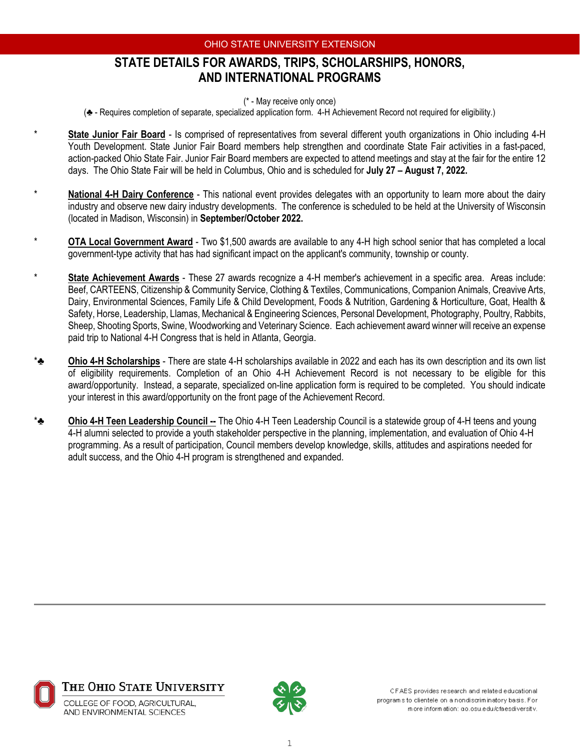## **STATE DETAILS FOR AWARDS, TRIPS, SCHOLARSHIPS, HONORS, AND INTERNATIONAL PROGRAMS**

(\* - May receive only once)

(♣ - Requires completion of separate, specialized application form. 4-H Achievement Record not required for eligibility.)

- State Junior Fair Board Is comprised of representatives from several different youth organizations in Ohio including 4-H Youth Development. State Junior Fair Board members help strengthen and coordinate State Fair activities in a fast-paced, action-packed Ohio State Fair. Junior Fair Board members are expected to attend meetings and stay at the fair for the entire 12 days. The Ohio State Fair will be held in Columbus, Ohio and is scheduled for **July 27 – August 7, 2022.**
- **National 4-H Dairy Conference** This national event provides delegates with an opportunity to learn more about the dairy industry and observe new dairy industry developments. The conference is scheduled to be held at the University of Wisconsin (located in Madison, Wisconsin) in **September/October 2022.**
- **OTA Local Government Award** Two \$1,500 awards are available to any 4-H high school senior that has completed a local government-type activity that has had significant impact on the applicant's community, township or county.
- \* **State Achievement Awards** These 27 awards recognize a 4-H member's achievement in a specific area. Areas include: Beef, CARTEENS, Citizenship & Community Service, Clothing & Textiles, Communications, Companion Animals, Creavive Arts, Dairy, Environmental Sciences, Family Life & Child Development, Foods & Nutrition, Gardening & Horticulture, Goat, Health & Safety, Horse, Leadership, Llamas, Mechanical & Engineering Sciences, Personal Development, Photography, Poultry, Rabbits, Sheep, Shooting Sports, Swine, Woodworking and Veterinary Science. Each achievement award winner will receive an expense paid trip to National 4-H Congress that is held in Atlanta, Georgia.
- **Ohio 4-H Scholarships** There are state 4-H scholarships available in 2022 and each has its own description and its own list of eligibility requirements. Completion of an Ohio 4-H Achievement Record is not necessary to be eligible for this award/opportunity. Instead, a separate, specialized on-line application form is required to be completed. You should indicate your interest in this award/opportunity on the front page of the Achievement Record.
- \*♣ **Ohio 4-H Teen Leadership Council --** The Ohio 4-H Teen Leadership Council is a statewide group of 4-H teens and young 4-H alumni selected to provide a youth stakeholder perspective in the planning, implementation, and evaluation of Ohio 4-H programming. As a result of participation, Council members develop knowledge, skills, attitudes and aspirations needed for adult success, and the Ohio 4-H program is strengthened and expanded.





CFAES provides research and related educational program's to clientele on a nondiscriminatory basis. For more information: go.osu.edu/cfaesdiversity.